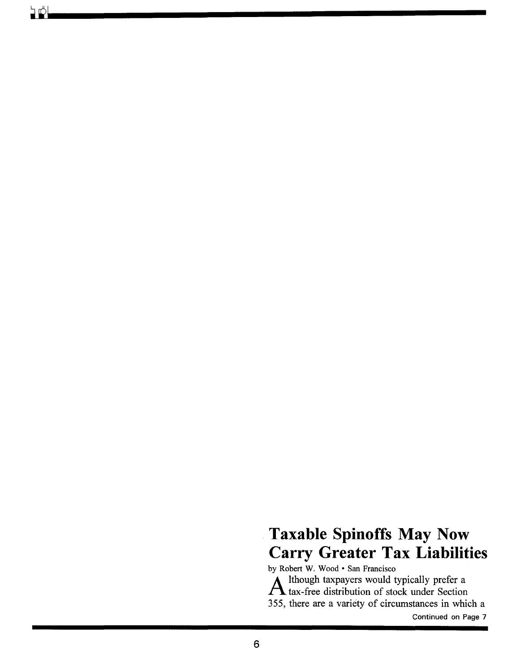# **Taxable Spinoffs May Now Carry Greater Tax Liabilities**  by Robert W. Wood · San Francisco

A lthough taxpayers would typically prefer a tax-free distribution of stock under Section 355, there are a variety of circumstances in which a

Continued on Page 7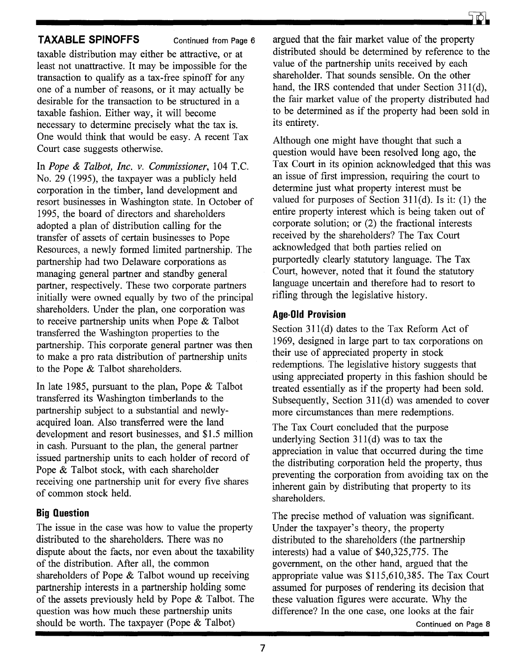## **TAXABLE SPINOFFS** Continued from Page 6

taxable distribution may either be attractive, or at least not unattractive. It may be impossible for the transaction to qualify as a tax-free spinoff for any one of a number of reasons, or it may actually be desirable for the transaction to be structured in a taxable fashion. Either way, it will become necessary to determine precisely what the tax is. One would think that would be easy. A recent Tax Court case suggests otherwise.

In *Pope* & *Talbot, Inc. v. Commissioner,* 104 T.C. No. 29 (1995), the taxpayer was a publicly held corporation in the timber, land development and resort businesses in Washington state. In October of 1995, the board of directors and shareholders adopted a plan of distribution calling for the transfer of assets of certain businesses to Pope Resources, a newly formed limited partnership. The partnership had two Delaware corporations as managing general partner and standby general partner, respectively. These two corporate partners initially were owned equally by two of the principal shareholders. Under the plan, one corporation was to receive partnership units when Pope & Talbot transferred the Washington properties to the partnership. This corporate general partner was then to make a pro rata distribution of partnership units to the Pope & Talbot shareholders.

In late 1985, pursuant to the plan, Pope & Talbot transferred its Washington timberlands to the partnership subject to a substantial and newlyacquired loan. Also transferred were the land development and resort businesses, and \$1.5 million in cash. Pursuant to the plan, the general partner issued partnership units to each holder of record of Pope & Talbot stock, with each shareholder receiving one partnership unit for every five shares of common stock held.

### **Big Question**

The issue in the case was how to value the property distributed to the shareholders. There was no dispute about the facts, nor even about the taxability of the distribution. After all, the common shareholders of Pope & Talbot wound up receiving partnership interests in a partnership holding some of the assets previously held by Pope & Talbot. The question was how much these partnership units should be worth. The taxpayer (Pope & Talbot)

argued that the fair market value of the property distributed should be determined by reference to the value of the partnership units received by each shareholder. That sounds sensible. On the other hand, the IRS contended that under Section 311(d), the fair market value of the property distributed had to be determined as if the property had been sold in its entirety.

Although one might have thought that such a question would have been resolved long ago, the Tax Court in its opinion acknowledged that this was an issue of first impression, requiring the court to determine just what property interest must be valued for purposes of Section  $311(d)$ . Is it: (1) the entire property interest which is being taken out of corporate solution; or (2) the fractional interests received by the shareholders? The Tax Court acknowledged that both parties relied on purportedly clearly statutory language. The Tax Court, however, noted that it found the statutory language uncertain and therefore had to resort to rifling through the legislative history.

### **Age·OId Provision**

Section 311(d) dates to the Tax Reform Act of 1969, designed in large part to tax corporations on their use of appreciated property in stock redemptions. The legislative history suggests that using appreciated property in this fashion should be treated essentially as if the property had been sold. Subsequently, Section 311(d) was amended to cover more circumstances than mere redemptions.

The Tax Court concluded that the purpose underlying Section  $311(d)$  was to tax the appreciation in value that occurred during the time the distributing corporation held the property, thus preventing the corporation from avoiding tax on the inherent gain by distributing that property to its shareholders.

The precise method of valuation was significant. Under the taxpayer's theory, the property distributed to the shareholders (the partnership interests) had a value of \$40,325,775. The government, on the other hand, argued that the appropriate value was \$115,610,385. The Tax Court assumed for purposes of rendering its decision that these valuation figures were accurate. Why the difference? In the one case, one looks at the fair